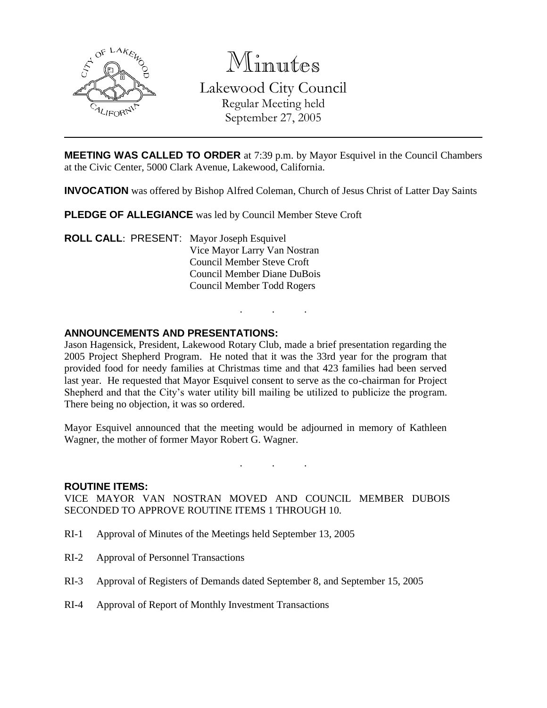

Minutes Lakewood City Council Regular Meeting held September 27, 2005

**MEETING WAS CALLED TO ORDER** at 7:39 p.m. by Mayor Esquivel in the Council Chambers at the Civic Center, 5000 Clark Avenue, Lakewood, California.

**INVOCATION** was offered by Bishop Alfred Coleman, Church of Jesus Christ of Latter Day Saints

. . .

**PLEDGE OF ALLEGIANCE** was led by Council Member Steve Croft

**ROLL CALL**: PRESENT: Mayor Joseph Esquivel Vice Mayor Larry Van Nostran Council Member Steve Croft Council Member Diane DuBois Council Member Todd Rogers

#### **ANNOUNCEMENTS AND PRESENTATIONS:**

Jason Hagensick, President, Lakewood Rotary Club, made a brief presentation regarding the 2005 Project Shepherd Program. He noted that it was the 33rd year for the program that provided food for needy families at Christmas time and that 423 families had been served last year. He requested that Mayor Esquivel consent to serve as the co-chairman for Project Shepherd and that the City's water utility bill mailing be utilized to publicize the program. There being no objection, it was so ordered.

Mayor Esquivel announced that the meeting would be adjourned in memory of Kathleen Wagner, the mother of former Mayor Robert G. Wagner.

. . .

#### **ROUTINE ITEMS:**

VICE MAYOR VAN NOSTRAN MOVED AND COUNCIL MEMBER DUBOIS SECONDED TO APPROVE ROUTINE ITEMS 1 THROUGH 10.

- RI-1 Approval of Minutes of the Meetings held September 13, 2005
- RI-2 Approval of Personnel Transactions
- RI-3 Approval of Registers of Demands dated September 8, and September 15, 2005
- RI-4 Approval of Report of Monthly Investment Transactions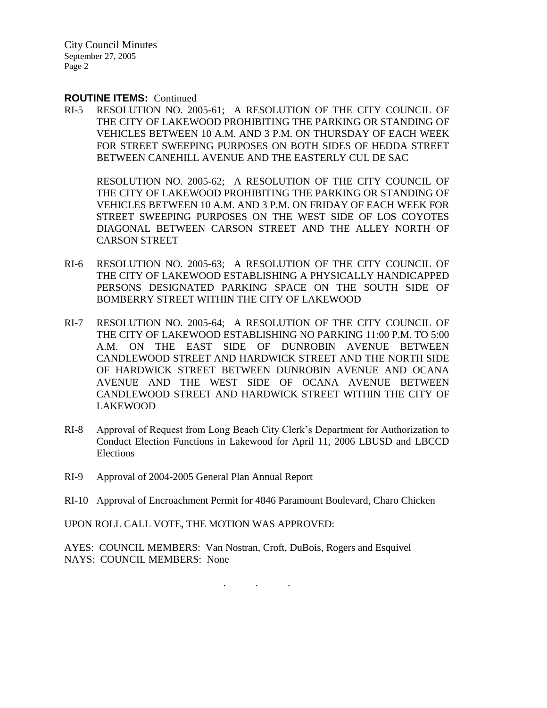City Council Minutes September 27, 2005 Page 2

#### **ROUTINE ITEMS:** Continued

RI-5 RESOLUTION NO. 2005-61; A RESOLUTION OF THE CITY COUNCIL OF THE CITY OF LAKEWOOD PROHIBITING THE PARKING OR STANDING OF VEHICLES BETWEEN 10 A.M. AND 3 P.M. ON THURSDAY OF EACH WEEK FOR STREET SWEEPING PURPOSES ON BOTH SIDES OF HEDDA STREET BETWEEN CANEHILL AVENUE AND THE EASTERLY CUL DE SAC

RESOLUTION NO. 2005-62; A RESOLUTION OF THE CITY COUNCIL OF THE CITY OF LAKEWOOD PROHIBITING THE PARKING OR STANDING OF VEHICLES BETWEEN 10 A.M. AND 3 P.M. ON FRIDAY OF EACH WEEK FOR STREET SWEEPING PURPOSES ON THE WEST SIDE OF LOS COYOTES DIAGONAL BETWEEN CARSON STREET AND THE ALLEY NORTH OF CARSON STREET

- RI-6 RESOLUTION NO. 2005-63; A RESOLUTION OF THE CITY COUNCIL OF THE CITY OF LAKEWOOD ESTABLISHING A PHYSICALLY HANDICAPPED PERSONS DESIGNATED PARKING SPACE ON THE SOUTH SIDE OF BOMBERRY STREET WITHIN THE CITY OF LAKEWOOD
- RI-7 RESOLUTION NO. 2005-64; A RESOLUTION OF THE CITY COUNCIL OF THE CITY OF LAKEWOOD ESTABLISHING NO PARKING 11:00 P.M. TO 5:00 A.M. ON THE EAST SIDE OF DUNROBIN AVENUE BETWEEN CANDLEWOOD STREET AND HARDWICK STREET AND THE NORTH SIDE OF HARDWICK STREET BETWEEN DUNROBIN AVENUE AND OCANA AVENUE AND THE WEST SIDE OF OCANA AVENUE BETWEEN CANDLEWOOD STREET AND HARDWICK STREET WITHIN THE CITY OF LAKEWOOD
- RI-8 Approval of Request from Long Beach City Clerk's Department for Authorization to Conduct Election Functions in Lakewood for April 11, 2006 LBUSD and LBCCD Elections
- RI-9 Approval of 2004-2005 General Plan Annual Report
- RI-10 Approval of Encroachment Permit for 4846 Paramount Boulevard, Charo Chicken

UPON ROLL CALL VOTE, THE MOTION WAS APPROVED:

AYES: COUNCIL MEMBERS: Van Nostran, Croft, DuBois, Rogers and Esquivel NAYS: COUNCIL MEMBERS: None

. . .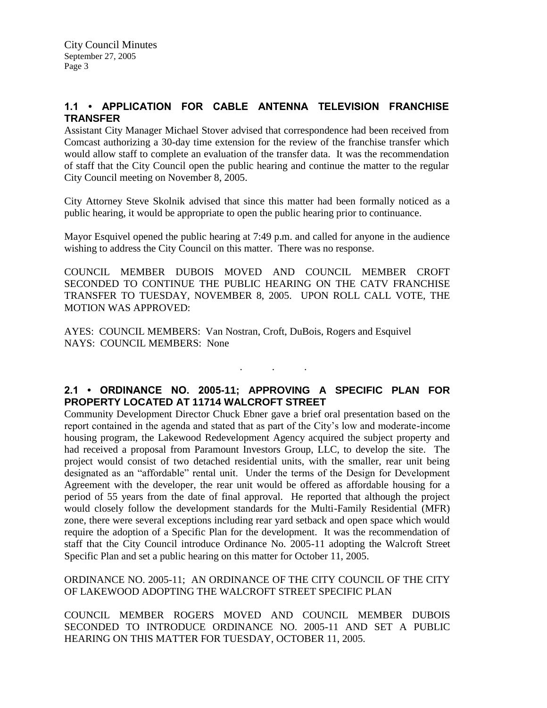# **1.1 • APPLICATION FOR CABLE ANTENNA TELEVISION FRANCHISE TRANSFER**

Assistant City Manager Michael Stover advised that correspondence had been received from Comcast authorizing a 30-day time extension for the review of the franchise transfer which would allow staff to complete an evaluation of the transfer data. It was the recommendation of staff that the City Council open the public hearing and continue the matter to the regular City Council meeting on November 8, 2005.

City Attorney Steve Skolnik advised that since this matter had been formally noticed as a public hearing, it would be appropriate to open the public hearing prior to continuance.

Mayor Esquivel opened the public hearing at 7:49 p.m. and called for anyone in the audience wishing to address the City Council on this matter. There was no response.

COUNCIL MEMBER DUBOIS MOVED AND COUNCIL MEMBER CROFT SECONDED TO CONTINUE THE PUBLIC HEARING ON THE CATV FRANCHISE TRANSFER TO TUESDAY, NOVEMBER 8, 2005. UPON ROLL CALL VOTE, THE MOTION WAS APPROVED:

AYES: COUNCIL MEMBERS: Van Nostran, Croft, DuBois, Rogers and Esquivel NAYS: COUNCIL MEMBERS: None

## **2.1 • ORDINANCE NO. 2005-11; APPROVING A SPECIFIC PLAN FOR PROPERTY LOCATED AT 11714 WALCROFT STREET**

. . .

Community Development Director Chuck Ebner gave a brief oral presentation based on the report contained in the agenda and stated that as part of the City's low and moderate-income housing program, the Lakewood Redevelopment Agency acquired the subject property and had received a proposal from Paramount Investors Group, LLC, to develop the site. The project would consist of two detached residential units, with the smaller, rear unit being designated as an "affordable" rental unit. Under the terms of the Design for Development Agreement with the developer, the rear unit would be offered as affordable housing for a period of 55 years from the date of final approval. He reported that although the project would closely follow the development standards for the Multi-Family Residential (MFR) zone, there were several exceptions including rear yard setback and open space which would require the adoption of a Specific Plan for the development. It was the recommendation of staff that the City Council introduce Ordinance No. 2005-11 adopting the Walcroft Street Specific Plan and set a public hearing on this matter for October 11, 2005.

#### ORDINANCE NO. 2005-11; AN ORDINANCE OF THE CITY COUNCIL OF THE CITY OF LAKEWOOD ADOPTING THE WALCROFT STREET SPECIFIC PLAN

COUNCIL MEMBER ROGERS MOVED AND COUNCIL MEMBER DUBOIS SECONDED TO INTRODUCE ORDINANCE NO. 2005-11 AND SET A PUBLIC HEARING ON THIS MATTER FOR TUESDAY, OCTOBER 11, 2005.